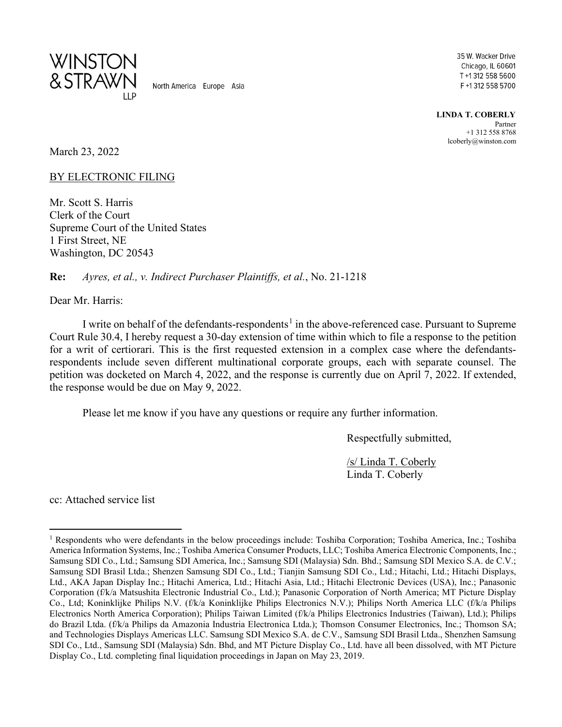

North America Europe Asia

35 W. Wacker Drive Chicago, IL 60601 T +1 312 558 5600 F +1 312 558 5700

**LINDA T. COBERLY** Partner +1 312 558 8768 lcoberly@winston.com

March 23, 2022

BY ELECTRONIC FILING

Mr. Scott S. Harris Clerk of the Court Supreme Court of the United States 1 First Street, NE Washington, DC 20543

**Re:** *Ayres, et al., v. Indirect Purchaser Plaintiffs, et al.*, No. 21-1218

Dear Mr. Harris:

I write on behalf of the defendants-respondents<sup>[1](#page-0-0)</sup> in the above-referenced case. Pursuant to Supreme Court Rule 30.4, I hereby request a 30-day extension of time within which to file a response to the petition for a writ of certiorari. This is the first requested extension in a complex case where the defendantsrespondents include seven different multinational corporate groups, each with separate counsel. The petition was docketed on March 4, 2022, and the response is currently due on April 7, 2022. If extended, the response would be due on May 9, 2022.

Please let me know if you have any questions or require any further information.

Respectfully submitted,

/s/ Linda T. Coberly Linda T. Coberly

cc: Attached service list

<span id="page-0-0"></span><sup>&</sup>lt;sup>1</sup> Respondents who were defendants in the below proceedings include: Toshiba Corporation; Toshiba America, Inc.; Toshiba America Information Systems, Inc.; Toshiba America Consumer Products, LLC; Toshiba America Electronic Components, Inc.; Samsung SDI Co., Ltd.; Samsung SDI America, Inc.; Samsung SDI (Malaysia) Sdn. Bhd.; Samsung SDI Mexico S.A. de C.V.; Samsung SDI Brasil Ltda.; Shenzen Samsung SDI Co., Ltd.; Tianjin Samsung SDI Co., Ltd.; Hitachi, Ltd.; Hitachi Displays, Ltd., AKA Japan Display Inc.; Hitachi America, Ltd.; Hitachi Asia, Ltd.; Hitachi Electronic Devices (USA), Inc.; Panasonic Corporation (f/k/a Matsushita Electronic Industrial Co., Ltd.); Panasonic Corporation of North America; MT Picture Display Co., Ltd; Koninklijke Philips N.V. (f/k/a Koninklijke Philips Electronics N.V.); Philips North America LLC (f/k/a Philips Electronics North America Corporation); Philips Taiwan Limited (f/k/a Philips Electronics Industries (Taiwan), Ltd.); Philips do Brazil Ltda. (f/k/a Philips da Amazonia Industria Electronica Ltda.); Thomson Consumer Electronics, Inc.; Thomson SA; and Technologies Displays Americas LLC. Samsung SDI Mexico S.A. de C.V., Samsung SDI Brasil Ltda., Shenzhen Samsung SDI Co., Ltd., Samsung SDI (Malaysia) Sdn. Bhd, and MT Picture Display Co., Ltd. have all been dissolved, with MT Picture Display Co., Ltd. completing final liquidation proceedings in Japan on May 23, 2019.